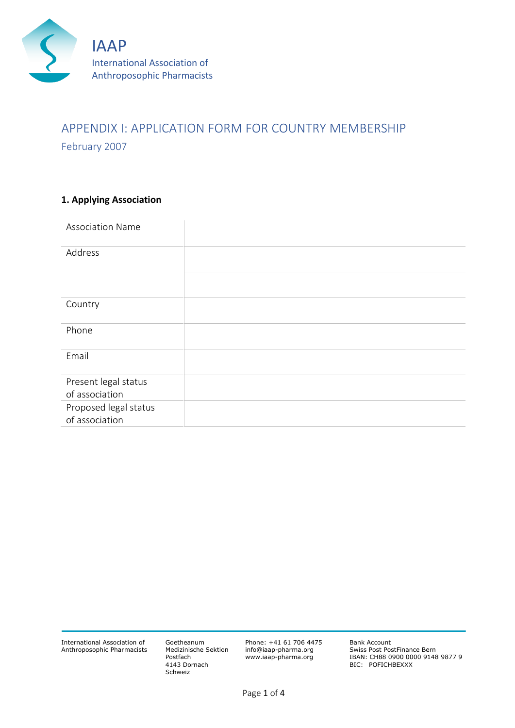

# APPENDIX I: APPLICATION FORM FOR COUNTRY MEMBERSHIP February 2007

## **1. Applying Association**

| <b>Association Name</b> |  |
|-------------------------|--|
| Address                 |  |
|                         |  |
| Country                 |  |
| Phone                   |  |
| Email                   |  |
| Present legal status    |  |
| of association          |  |
| Proposed legal status   |  |
| of association          |  |

International Association of Anthroposophic Pharmacists Goetheanum Medizinische Sektion Postfach 4143 Dornach Schweiz

Phone: +41 61 706 4475 info@iaap-pharma.org www.iaap-pharma.org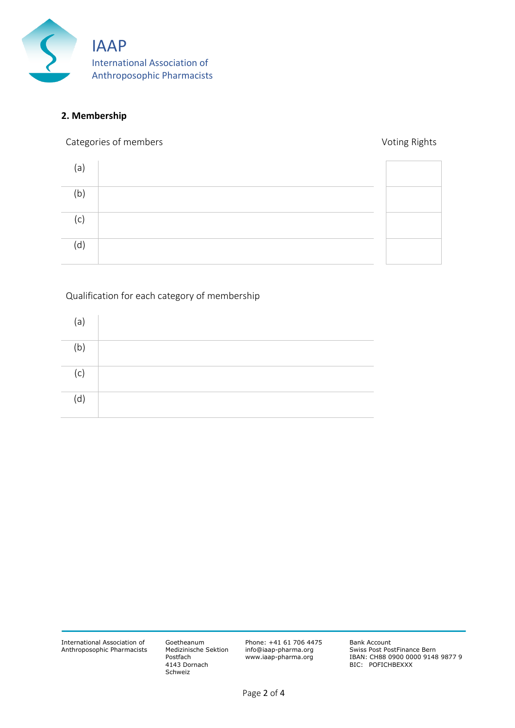

#### **2. Membership**

Categories of members **Voting Rights** Categories of members **Voting Rights** 

| (a) |  |
|-----|--|
| (b) |  |
| (c) |  |
| (d) |  |

Qualification for each category of membership

| (a)            |  |
|----------------|--|
| (b)            |  |
| $^{\prime}$ c) |  |
| (d)            |  |

Goetheanum Medizinische Sektion Postfach 4143 Dornach Schweiz

Phone: +41 61 706 4475 info@iaap-pharma.org www.iaap-pharma.org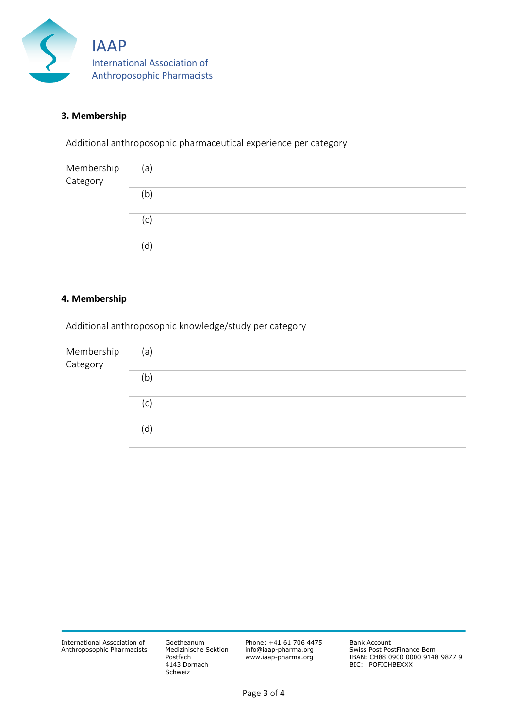

#### **3. Membership**

Additional anthroposophic pharmaceutical experience per category

| Membership<br>Category | (a) |  |
|------------------------|-----|--|
|                        | (b) |  |
|                        | (c  |  |
|                        | (d) |  |

#### **4. Membership**

Additional anthroposophic knowledge/study per category



International Association of Anthroposophic Pharmacists Goetheanum Medizinische Sektion Postfach 4143 Dornach Schweiz

Phone: +41 61 706 4475 info@iaap-pharma.org www.iaap-pharma.org